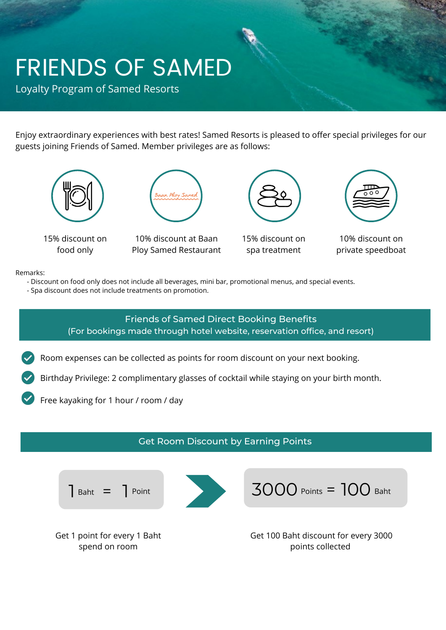# FRIENDS OF SAMED

Loyalty Program of Samed Resorts

Enjoy extraordinary experiences with best rates! Samed Resorts is pleased to offer special privileges for our guests joining Friends of Samed. Member privileges are as follows:



15% discount on food only



10% discount at Baan Ploy Samed Restaurant



15% discount on spa treatment



10% discount on private speedboat

#### Remarks:

- Discount on food only does not include all beverages, mini bar, promotional menus, and special events.
- Spa discount does not include treatments on promotion.

# Friends of Samed Direct Booking Benefits (For bookings made through hotel website, reservation office, and resort)

- Room expenses can be collected as points for room discount on your next booking.
- Birthday Privilege: 2 complimentary glasses of cocktail while staying on your birth month.
- Free kayaking for 1 hour / room / day

## Get Room Discount by Earning Points





3000 Points = 100 Baht

Get 1 point for every 1 Baht spend on room

Get 100 Baht discount for every 3000 points collected